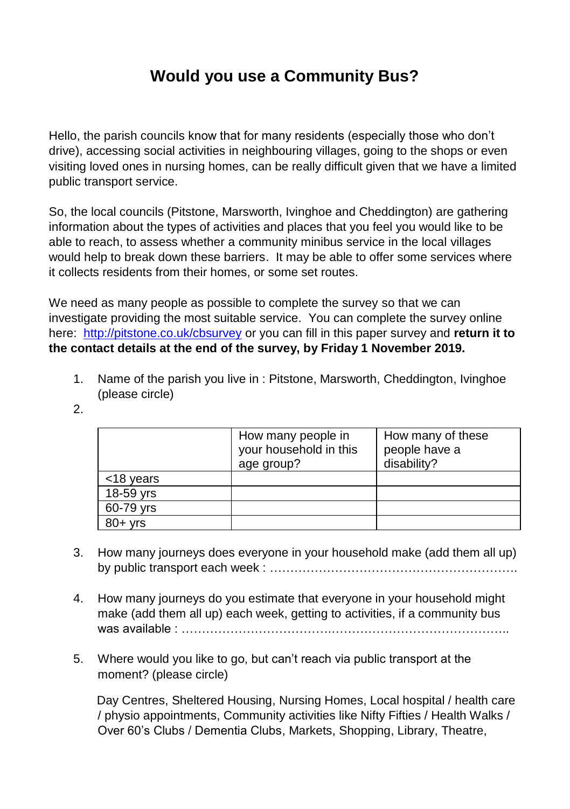## **Would you use a Community Bus?**

Hello, the parish councils know that for many residents (especially those who don't drive), accessing social activities in neighbouring villages, going to the shops or even visiting loved ones in nursing homes, can be really difficult given that we have a limited public transport service.

So, the local councils (Pitstone, Marsworth, Ivinghoe and Cheddington) are gathering information about the types of activities and places that you feel you would like to be able to reach, to assess whether a community minibus service in the local villages would help to break down these barriers. It may be able to offer some services where it collects residents from their homes, or some set routes.

We need as many people as possible to complete the survey so that we can investigate providing the most suitable service. You can complete the survey online here:<http://pitstone.co.uk/cbsurvey> or you can fill in this paper survey and **return it to the contact details at the end of the survey, by Friday 1 November 2019.**

- 1. Name of the parish you live in : Pitstone, Marsworth, Cheddington, Ivinghoe (please circle)
- 2.

|           | How many people in<br>your household in this<br>age group? | How many of these<br>people have a<br>disability? |
|-----------|------------------------------------------------------------|---------------------------------------------------|
| <18 years |                                                            |                                                   |
| 18-59 yrs |                                                            |                                                   |
| 60-79 yrs |                                                            |                                                   |
| $80+$ yrs |                                                            |                                                   |

- 3. How many journeys does everyone in your household make (add them all up) by public transport each week : …………………………………………………….
- 4. How many journeys do you estimate that everyone in your household might make (add them all up) each week, getting to activities, if a community bus was available : ……………………………….……………………………………..
- 5. Where would you like to go, but can't reach via public transport at the moment? (please circle)

Day Centres, Sheltered Housing, Nursing Homes, Local hospital / health care / physio appointments, Community activities like Nifty Fifties / Health Walks / Over 60's Clubs / Dementia Clubs, Markets, Shopping, Library, Theatre,